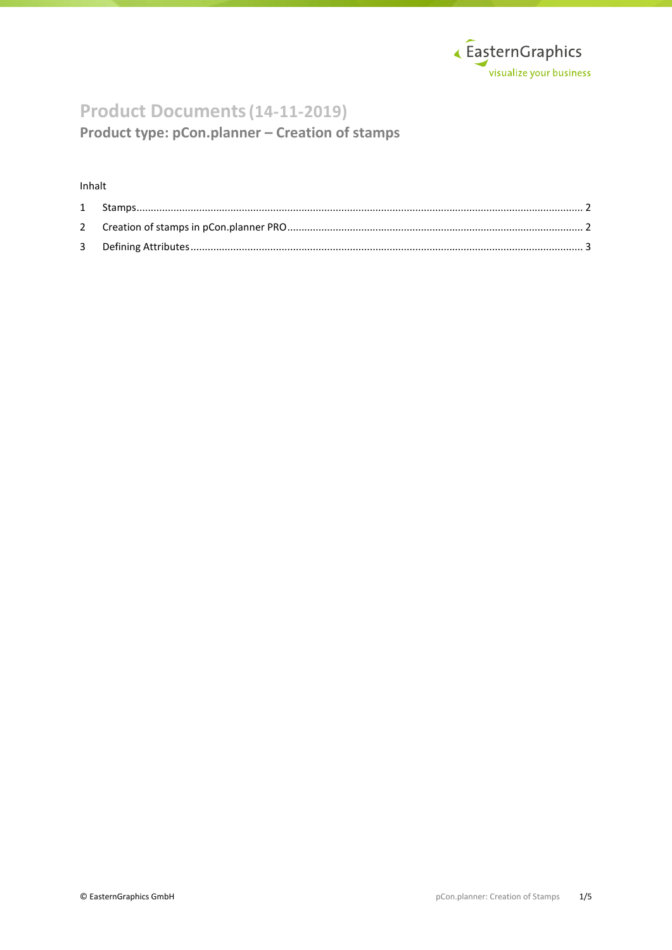

# **Product Documents(14-11-2019)**

**Product type: pCon.planner – Creation of stamps**

### Inhalt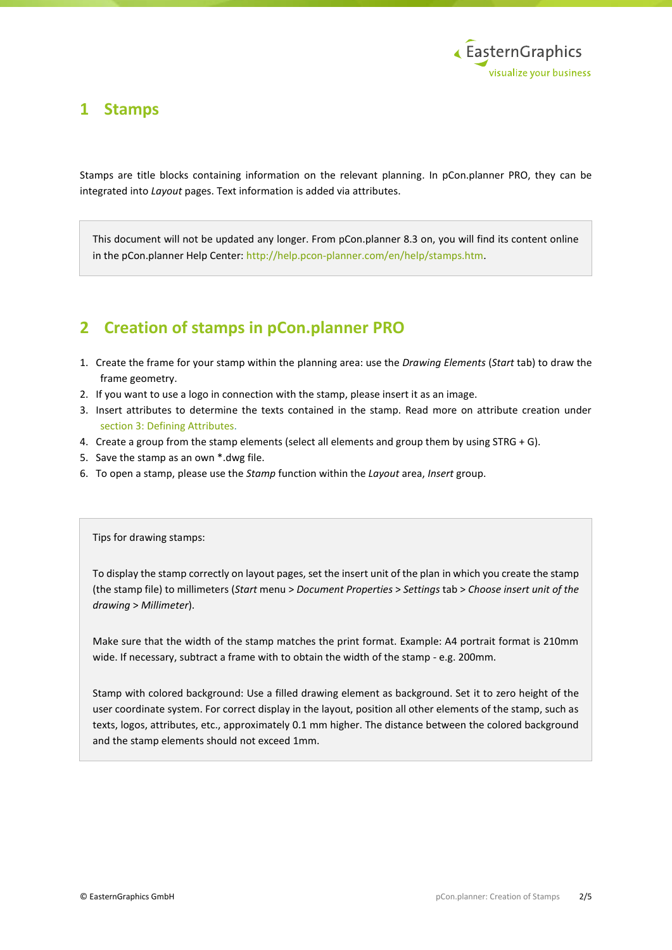

### <span id="page-1-0"></span>**1 Stamps**

Stamps are title blocks containing information on the relevant planning. In pCon.planner PRO, they can be integrated into *Layout* pages. Text information is added via attributes.

This document will not be updated any longer. From pCon.planner 8.3 on, you will find its content online in the pCon.planner Help Center: [http://help.pcon-planner.com/en/help/stamps.htm.](http://help.pcon-planner.com/en/help/stamps.htm)

## <span id="page-1-1"></span>**2 Creation of stamps in pCon.planner PRO**

- 1. Create the frame for your stamp within the planning area: use the *Drawing Elements* (*Start* tab) to draw the frame geometry.
- 2. If you want to use a logo in connection with the stamp, please insert it as an image.
- 3. Insert attributes to determine the texts contained in the stamp. Read more on attribute creation under [section 3: Defining Attributes.](#page-2-0)
- 4. Create a group from the stamp elements (select all elements and group them by using STRG + G).
- 5. Save the stamp as an own \*.dwg file.
- 6. To open a stamp, please use the *Stamp* function within the *Layout* area, *Insert* group.

#### Tips for drawing stamps:

To display the stamp correctly on layout pages, set the insert unit of the plan in which you create the stamp (the stamp file) to millimeters (*Start* menu > *Document Properties* > *Settings* tab > *Choose insert unit of the drawing* > *Millimeter*).

Make sure that the width of the stamp matches the print format. Example: A4 portrait format is 210mm wide. If necessary, subtract a frame with to obtain the width of the stamp - e.g. 200mm.

Stamp with colored background: Use a filled drawing element as background. Set it to zero height of the user coordinate system. For correct display in the layout, position all other elements of the stamp, such as texts, logos, attributes, etc., approximately 0.1 mm higher. The distance between the colored background and the stamp elements should not exceed 1mm.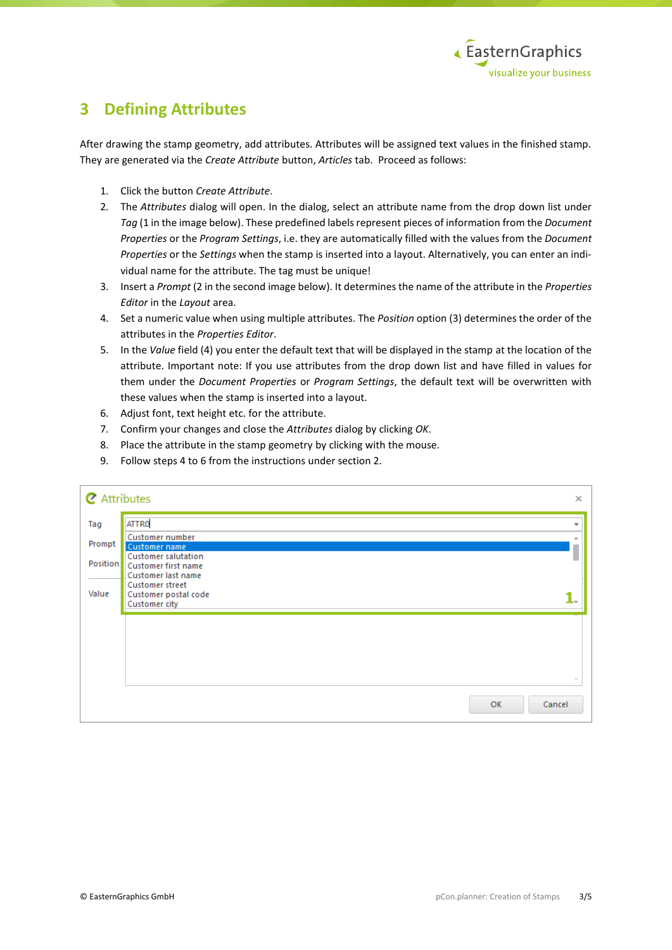

### <span id="page-2-0"></span>**3 Defining Attributes**

After drawing the stamp geometry, add attributes. Attributes will be assigned text values in the finished stamp. They are generated via the *Create Attribute* button, *Articles* tab. Proceed as follows:

- 1. Click the button *Create Attribute*.
- 2. The *Attributes* dialog will open. In the dialog, select an attribute name from the drop down list under *Tag* (1 in the image below). These predefined labels represent pieces of information from the *Document Properties* or the *Program Settings*, i.e. they are automatically filled with the values from the *Document Properties* or the *Settings* when the stamp is inserted into a layout. Alternatively, you can enter an individual name for the attribute. The tag must be unique!
- 3. Insert a *Prompt* (2 in the second image below). It determines the name of the attribute in the *Properties Editor* in the *Layout* area.
- 4. Set a numeric value when using multiple attributes. The *Position* option (3) determines the order of the attributes in the *Properties Editor*.
- 5. In the *Value* field (4) you enter the default text that will be displayed in the stamp at the location of the attribute. Important note: If you use attributes from the drop down list and have filled in values for them under the *Document Properties* or *Program Settings*, the default text will be overwritten with these values when the stamp is inserted into a layout.
- 6. Adjust font, text height etc. for the attribute.
- 7. Confirm your changes and close the *Attributes* dialog by clicking *OK*.
- 8. Place the attribute in the stamp geometry by clicking with the mouse.
- 9. Follow steps 4 to 6 from the instructions under section 2.

|        | <b>Z</b> Attributes<br>$\times$                                                       |                          |  |  |  |  |
|--------|---------------------------------------------------------------------------------------|--------------------------|--|--|--|--|
| Tag    | <b>ATTRO</b>                                                                          | $\overline{\phantom{a}}$ |  |  |  |  |
| Prompt | Customer number<br><b>Customer name</b>                                               | ۸                        |  |  |  |  |
|        | <b>Customer salutation</b><br>Position   Customer first name                          |                          |  |  |  |  |
| Value  | Customer last name<br><b>Customer street</b><br>Customer postal code<br>Customer city |                          |  |  |  |  |
|        |                                                                                       |                          |  |  |  |  |
|        |                                                                                       |                          |  |  |  |  |
|        |                                                                                       |                          |  |  |  |  |
|        |                                                                                       | $\sim$                   |  |  |  |  |
|        | OK                                                                                    | Cancel                   |  |  |  |  |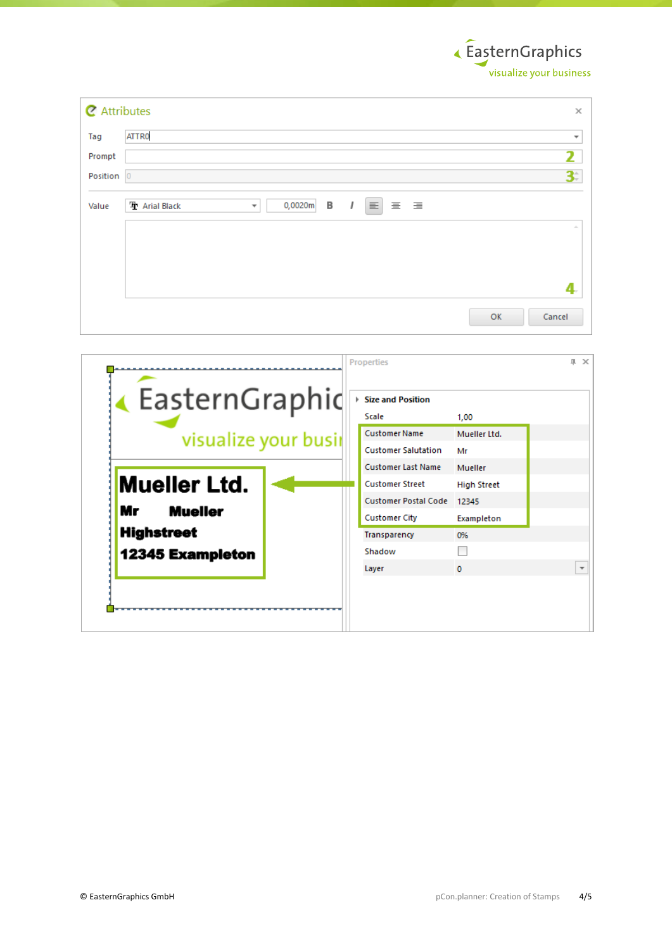EasternGraphics ,<br>visualize your business

| <b>Z</b> Attributes<br>$\times$ |                                                                                                     |                             |  |  |  |  |  |
|---------------------------------|-----------------------------------------------------------------------------------------------------|-----------------------------|--|--|--|--|--|
| Tag                             | ATTR0                                                                                               | $\overline{\mathbf v}$      |  |  |  |  |  |
| Prompt                          |                                                                                                     | 2                           |  |  |  |  |  |
| Position 0                      |                                                                                                     | 31                          |  |  |  |  |  |
| Value                           | В<br>0,0020m<br>$\equiv$<br>三 三<br><b>T</b> Arial Black<br>$\overline{1}$<br>$\overline{\mathbf v}$ |                             |  |  |  |  |  |
|                                 |                                                                                                     | $\mathcal{M}_{\mathrm{in}}$ |  |  |  |  |  |
|                                 |                                                                                                     |                             |  |  |  |  |  |
|                                 |                                                                                                     |                             |  |  |  |  |  |
|                                 |                                                                                                     |                             |  |  |  |  |  |
|                                 |                                                                                                     | OK<br>Cancel                |  |  |  |  |  |

|                         |  | <b>Properties</b>           |                    | 皿 | $\times$                 |
|-------------------------|--|-----------------------------|--------------------|---|--------------------------|
| EasternGraphic          |  | Size and Position           |                    |   |                          |
|                         |  | Scale                       | 1,00               |   |                          |
| visualize your busir    |  | <b>Customer Name</b>        | Mueller Ltd.       |   |                          |
|                         |  | <b>Customer Salutation</b>  | Mr                 |   |                          |
|                         |  | <b>Customer Last Name</b>   | Mueller            |   |                          |
| <b>Mueller Ltd.</b>     |  | <b>Customer Street</b>      | <b>High Street</b> |   |                          |
|                         |  | <b>Customer Postal Code</b> | 12345              |   |                          |
| Mr<br><b>Mueller</b>    |  | <b>Customer City</b>        | Exampleton         |   |                          |
| <b>Highstreet</b>       |  | Transparency                | 0%                 |   |                          |
| <b>12345 Exampleton</b> |  | Shadow                      |                    |   |                          |
|                         |  | Layer                       | $\Omega$           |   | $\overline{\phantom{a}}$ |
|                         |  |                             |                    |   |                          |
|                         |  |                             |                    |   |                          |
|                         |  |                             |                    |   |                          |